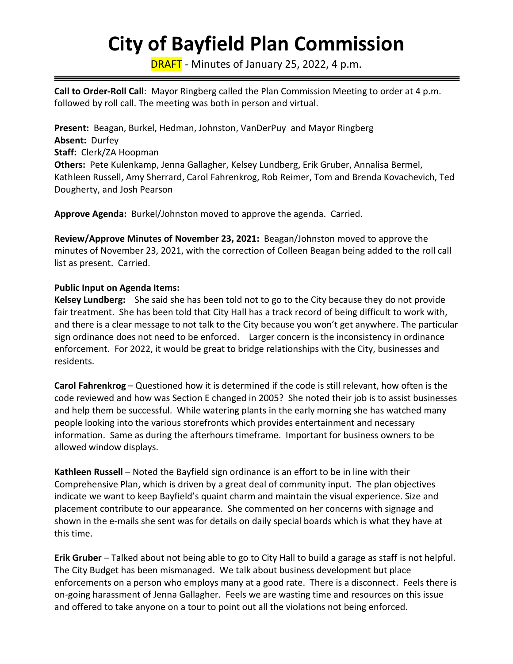# **City of Bayfield Plan Commission**

DRAFT - Minutes of January 25, 2022, 4 p.m.

**Call to Order-Roll Call**: Mayor Ringberg called the Plan Commission Meeting to order at 4 p.m. followed by roll call. The meeting was both in person and virtual.

**Present:** Beagan, Burkel, Hedman, Johnston, VanDerPuy and Mayor Ringberg **Absent:** Durfey **Staff:** Clerk/ZA Hoopman **Others:** Pete Kulenkamp, Jenna Gallagher, Kelsey Lundberg, Erik Gruber, Annalisa Bermel, Kathleen Russell, Amy Sherrard, Carol Fahrenkrog, Rob Reimer, Tom and Brenda Kovachevich, Ted Dougherty, and Josh Pearson

**Approve Agenda:** Burkel/Johnston moved to approve the agenda. Carried.

**Review/Approve Minutes of November 23, 2021:** Beagan/Johnston moved to approve the minutes of November 23, 2021, with the correction of Colleen Beagan being added to the roll call list as present. Carried.

#### **Public Input on Agenda Items:**

**Kelsey Lundberg:** She said she has been told not to go to the City because they do not provide fair treatment. She has been told that City Hall has a track record of being difficult to work with, and there is a clear message to not talk to the City because you won't get anywhere. The particular sign ordinance does not need to be enforced. Larger concern is the inconsistency in ordinance enforcement. For 2022, it would be great to bridge relationships with the City, businesses and residents.

**Carol Fahrenkrog** – Questioned how it is determined if the code is still relevant, how often is the code reviewed and how was Section E changed in 2005? She noted their job is to assist businesses and help them be successful. While watering plants in the early morning she has watched many people looking into the various storefronts which provides entertainment and necessary information. Same as during the afterhours timeframe. Important for business owners to be allowed window displays.

**Kathleen Russell** – Noted the Bayfield sign ordinance is an effort to be in line with their Comprehensive Plan, which is driven by a great deal of community input. The plan objectives indicate we want to keep Bayfield's quaint charm and maintain the visual experience. Size and placement contribute to our appearance. She commented on her concerns with signage and shown in the e-mails she sent was for details on daily special boards which is what they have at this time.

**Erik Gruber** – Talked about not being able to go to City Hall to build a garage as staff is not helpful. The City Budget has been mismanaged. We talk about business development but place enforcements on a person who employs many at a good rate. There is a disconnect. Feels there is on-going harassment of Jenna Gallagher. Feels we are wasting time and resources on this issue and offered to take anyone on a tour to point out all the violations not being enforced.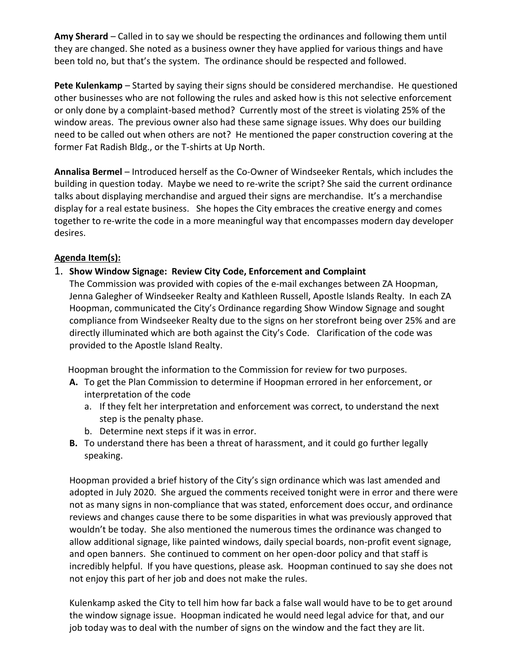**Amy Sherard** – Called in to say we should be respecting the ordinances and following them until they are changed. She noted as a business owner they have applied for various things and have been told no, but that's the system. The ordinance should be respected and followed.

**Pete Kulenkamp** – Started by saying their signs should be considered merchandise. He questioned other businesses who are not following the rules and asked how is this not selective enforcement or only done by a complaint-based method? Currently most of the street is violating 25% of the window areas. The previous owner also had these same signage issues. Why does our building need to be called out when others are not? He mentioned the paper construction covering at the former Fat Radish Bldg., or the T-shirts at Up North.

**Annalisa Bermel** – Introduced herself as the Co-Owner of Windseeker Rentals, which includes the building in question today. Maybe we need to re-write the script? She said the current ordinance talks about displaying merchandise and argued their signs are merchandise. It's a merchandise display for a real estate business. She hopes the City embraces the creative energy and comes together to re-write the code in a more meaningful way that encompasses modern day developer desires.

## **Agenda Item(s):**

#### 1. **Show Window Signage: Review City Code, Enforcement and Complaint**

The Commission was provided with copies of the e-mail exchanges between ZA Hoopman, Jenna Galegher of Windseeker Realty and Kathleen Russell, Apostle Islands Realty. In each ZA Hoopman, communicated the City's Ordinance regarding Show Window Signage and sought compliance from Windseeker Realty due to the signs on her storefront being over 25% and are directly illuminated which are both against the City's Code. Clarification of the code was provided to the Apostle Island Realty.

Hoopman brought the information to the Commission for review for two purposes.

- **A.** To get the Plan Commission to determine if Hoopman errored in her enforcement, or interpretation of the code
	- a. If they felt her interpretation and enforcement was correct, to understand the next step is the penalty phase.
	- b. Determine next steps if it was in error.
- **B.** To understand there has been a threat of harassment, and it could go further legally speaking.

Hoopman provided a brief history of the City's sign ordinance which was last amended and adopted in July 2020. She argued the comments received tonight were in error and there were not as many signs in non-compliance that was stated, enforcement does occur, and ordinance reviews and changes cause there to be some disparities in what was previously approved that wouldn't be today. She also mentioned the numerous times the ordinance was changed to allow additional signage, like painted windows, daily special boards, non-profit event signage, and open banners. She continued to comment on her open-door policy and that staff is incredibly helpful. If you have questions, please ask. Hoopman continued to say she does not not enjoy this part of her job and does not make the rules.

Kulenkamp asked the City to tell him how far back a false wall would have to be to get around the window signage issue. Hoopman indicated he would need legal advice for that, and our job today was to deal with the number of signs on the window and the fact they are lit.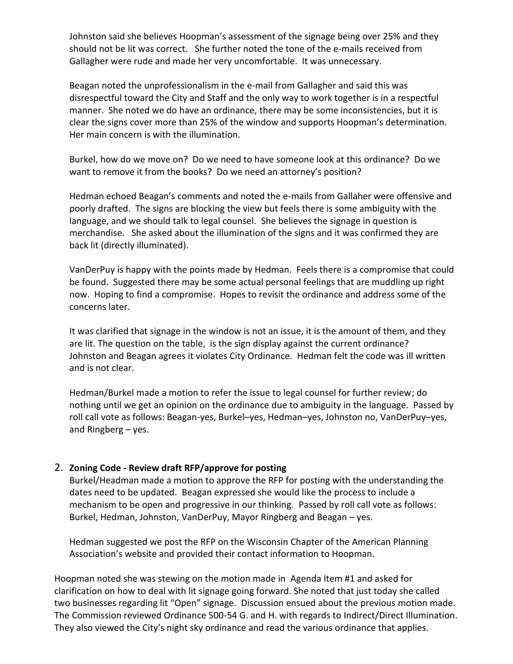Johnston said she believes Hoopman's assessment of the signage being over 25% and they should not be lit was correct. She further noted the tone of the e-mails received from Gallagher were rude and made her very uncomfortable. It was unnecessary.

Beagan noted the unprofessionalism in the e-mail from Gallagher and said this was disrespectful toward the City and Staff and the only way to work together is in a respectful manner. She noted we do have an ordinance, there may be some inconsistencies, but it is clear the signs cover more than 25% of the window and supports Hoopman's determination. Her main concern is with the illumination.

Burkel, how do we move on? Do we need to have someone look at this ordinance? Do we want to remove it from the books? Do we need an attorney's position?

Hedman echoed Beagan's comments and noted the e-mails from Gallaher were offensive and poorly drafted. The signs are blocking the view but feels there is some ambiguity with the language, and we should talk to legal counsel. She believes the signage in question is merchandise. She asked about the illumination of the signs and it was confirmed they are back lit (directly illuminated).

VanDerPuy is happy with the points made by Hedman. Feels there is a compromise that could be found. Suggested there may be some actual personal feelings that are muddling up right now. Hoping to find a compromise. Hopes to revisit the ordinance and address some of the concerns later.

It was clarified that signage in the window is not an issue, it is the amount of them, and they are lit. The question on the table, is the sign display against the current ordinance? Johnston and Beagan agrees it violates City Ordinance. Hedman felt the code was ill written and is not clear.

Hedman/Burkel made a motion to refer the issue to legal counsel for further review; do nothing until we get an opinion on the ordinance due to ambiguity in the language. Passed by roll call vote as follows: Beagan-yes, Burkel–yes, Hedman–yes, Johnston no, VanDerPuy–yes, and Ringberg – yes.

#### 2. **Zoning Code - Review draft RFP/approve for posting**

Burkel/Headman made a motion to approve the RFP for posting with the understanding the dates need to be updated. Beagan expressed she would like the process to include a mechanism to be open and progressive in our thinking. Passed by roll call vote as follows: Burkel, Hedman, Johnston, VanDerPuy, Mayor Ringberg and Beagan – yes.

Hedman suggested we post the RFP on the Wisconsin Chapter of the American Planning Association's website and provided their contact information to Hoopman.

Hoopman noted she was stewing on the motion made in Agenda Item #1 and asked for clarification on how to deal with lit signage going forward. She noted that just today she called two businesses regarding lit "Open" signage. Discussion ensued about the previous motion made. The Commission reviewed Ordinance 500-54 G. and H. with regards to Indirect/Direct Illumination. They also viewed the City's night sky ordinance and read the various ordinance that applies.